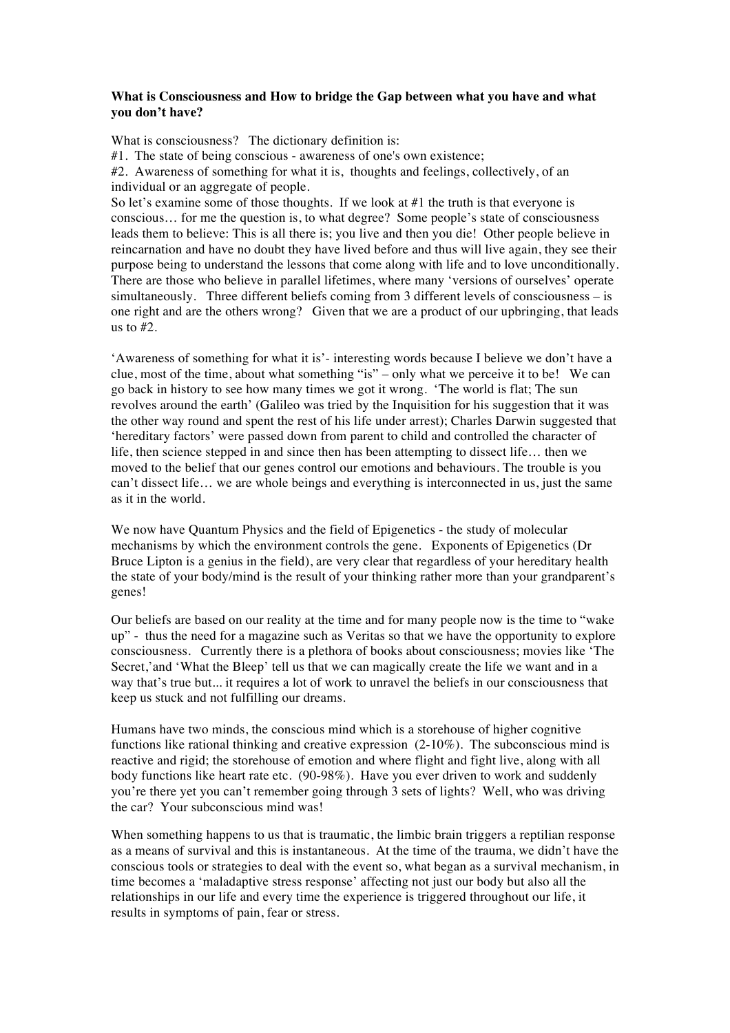## **What is Consciousness and How to bridge the Gap between what you have and what you don't have?**

What is consciousness? The dictionary definition is:

#1. The state of being conscious - awareness of one's own existence;

#2. Awareness of something for what it is, thoughts and feelings, collectively, of an individual or an aggregate of people.

So let's examine some of those thoughts. If we look at #1 the truth is that everyone is conscious… for me the question is, to what degree? Some people's state of consciousness leads them to believe: This is all there is; you live and then you die! Other people believe in reincarnation and have no doubt they have lived before and thus will live again, they see their purpose being to understand the lessons that come along with life and to love unconditionally. There are those who believe in parallel lifetimes, where many 'versions of ourselves' operate simultaneously. Three different beliefs coming from 3 different levels of consciousness – is one right and are the others wrong? Given that we are a product of our upbringing, that leads us to #2.

'Awareness of something for what it is'- interesting words because I believe we don't have a clue, most of the time, about what something "is" – only what we perceive it to be! We can go back in history to see how many times we got it wrong. 'The world is flat; The sun revolves around the earth' (Galileo was tried by the Inquisition for his suggestion that it was the other way round and spent the rest of his life under arrest); Charles Darwin suggested that 'hereditary factors' were passed down from parent to child and controlled the character of life, then science stepped in and since then has been attempting to dissect life… then we moved to the belief that our genes control our emotions and behaviours. The trouble is you can't dissect life… we are whole beings and everything is interconnected in us, just the same as it in the world.

We now have Quantum Physics and the field of Epigenetics - the study of molecular mechanisms by which the environment controls the gene. Exponents of Epigenetics (Dr Bruce Lipton is a genius in the field), are very clear that regardless of your hereditary health the state of your body/mind is the result of your thinking rather more than your grandparent's genes!

Our beliefs are based on our reality at the time and for many people now is the time to "wake up" - thus the need for a magazine such as Veritas so that we have the opportunity to explore consciousness. Currently there is a plethora of books about consciousness; movies like 'The Secret,' and 'What the Bleep' tell us that we can magically create the life we want and in a way that's true but... it requires a lot of work to unravel the beliefs in our consciousness that keep us stuck and not fulfilling our dreams.

Humans have two minds, the conscious mind which is a storehouse of higher cognitive functions like rational thinking and creative expression (2-10%). The subconscious mind is reactive and rigid; the storehouse of emotion and where flight and fight live, along with all body functions like heart rate etc. (90-98%). Have you ever driven to work and suddenly you're there yet you can't remember going through 3 sets of lights? Well, who was driving the car? Your subconscious mind was!

When something happens to us that is traumatic, the limbic brain triggers a reptilian response as a means of survival and this is instantaneous. At the time of the trauma, we didn't have the conscious tools or strategies to deal with the event so, what began as a survival mechanism, in time becomes a 'maladaptive stress response' affecting not just our body but also all the relationships in our life and every time the experience is triggered throughout our life, it results in symptoms of pain, fear or stress.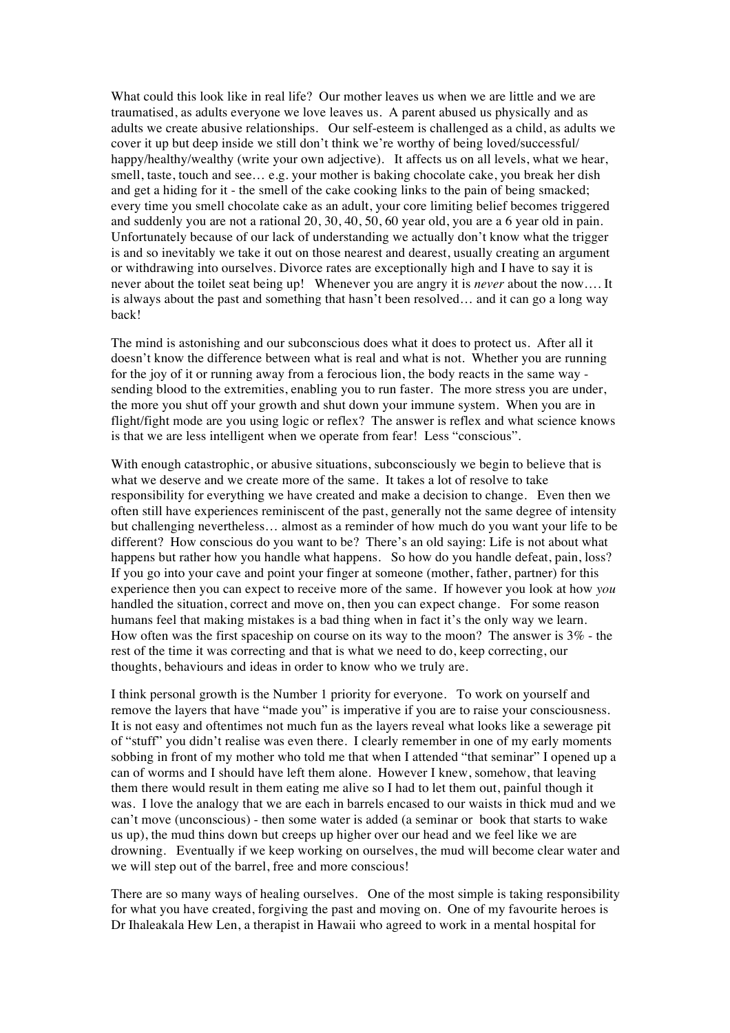What could this look like in real life? Our mother leaves us when we are little and we are traumatised, as adults everyone we love leaves us. A parent abused us physically and as adults we create abusive relationships. Our self-esteem is challenged as a child, as adults we cover it up but deep inside we still don't think we're worthy of being loved/successful/ happy/healthy/wealthy (write your own adjective). It affects us on all levels, what we hear, smell, taste, touch and see… e.g. your mother is baking chocolate cake, you break her dish and get a hiding for it - the smell of the cake cooking links to the pain of being smacked; every time you smell chocolate cake as an adult, your core limiting belief becomes triggered and suddenly you are not a rational 20, 30, 40, 50, 60 year old, you are a 6 year old in pain. Unfortunately because of our lack of understanding we actually don't know what the trigger is and so inevitably we take it out on those nearest and dearest, usually creating an argument or withdrawing into ourselves. Divorce rates are exceptionally high and I have to say it is never about the toilet seat being up! Whenever you are angry it is *never* about the now…. It is always about the past and something that hasn't been resolved… and it can go a long way back!

The mind is astonishing and our subconscious does what it does to protect us. After all it doesn't know the difference between what is real and what is not. Whether you are running for the joy of it or running away from a ferocious lion, the body reacts in the same way sending blood to the extremities, enabling you to run faster. The more stress you are under, the more you shut off your growth and shut down your immune system. When you are in flight/fight mode are you using logic or reflex? The answer is reflex and what science knows is that we are less intelligent when we operate from fear! Less "conscious".

With enough catastrophic, or abusive situations, subconsciously we begin to believe that is what we deserve and we create more of the same. It takes a lot of resolve to take responsibility for everything we have created and make a decision to change. Even then we often still have experiences reminiscent of the past, generally not the same degree of intensity but challenging nevertheless… almost as a reminder of how much do you want your life to be different? How conscious do you want to be? There's an old saying: Life is not about what happens but rather how you handle what happens. So how do you handle defeat, pain, loss? If you go into your cave and point your finger at someone (mother, father, partner) for this experience then you can expect to receive more of the same. If however you look at how *you* handled the situation, correct and move on, then you can expect change. For some reason humans feel that making mistakes is a bad thing when in fact it's the only way we learn. How often was the first spaceship on course on its way to the moon? The answer is 3% - the rest of the time it was correcting and that is what we need to do, keep correcting, our thoughts, behaviours and ideas in order to know who we truly are.

I think personal growth is the Number 1 priority for everyone. To work on yourself and remove the layers that have "made you" is imperative if you are to raise your consciousness. It is not easy and oftentimes not much fun as the layers reveal what looks like a sewerage pit of "stuff" you didn't realise was even there. I clearly remember in one of my early moments sobbing in front of my mother who told me that when I attended "that seminar" I opened up a can of worms and I should have left them alone. However I knew, somehow, that leaving them there would result in them eating me alive so I had to let them out, painful though it was. I love the analogy that we are each in barrels encased to our waists in thick mud and we can't move (unconscious) - then some water is added (a seminar or book that starts to wake us up), the mud thins down but creeps up higher over our head and we feel like we are drowning. Eventually if we keep working on ourselves, the mud will become clear water and we will step out of the barrel, free and more conscious!

There are so many ways of healing ourselves. One of the most simple is taking responsibility for what you have created, forgiving the past and moving on. One of my favourite heroes is Dr Ihaleakala Hew Len, a therapist in Hawaii who agreed to work in a mental hospital for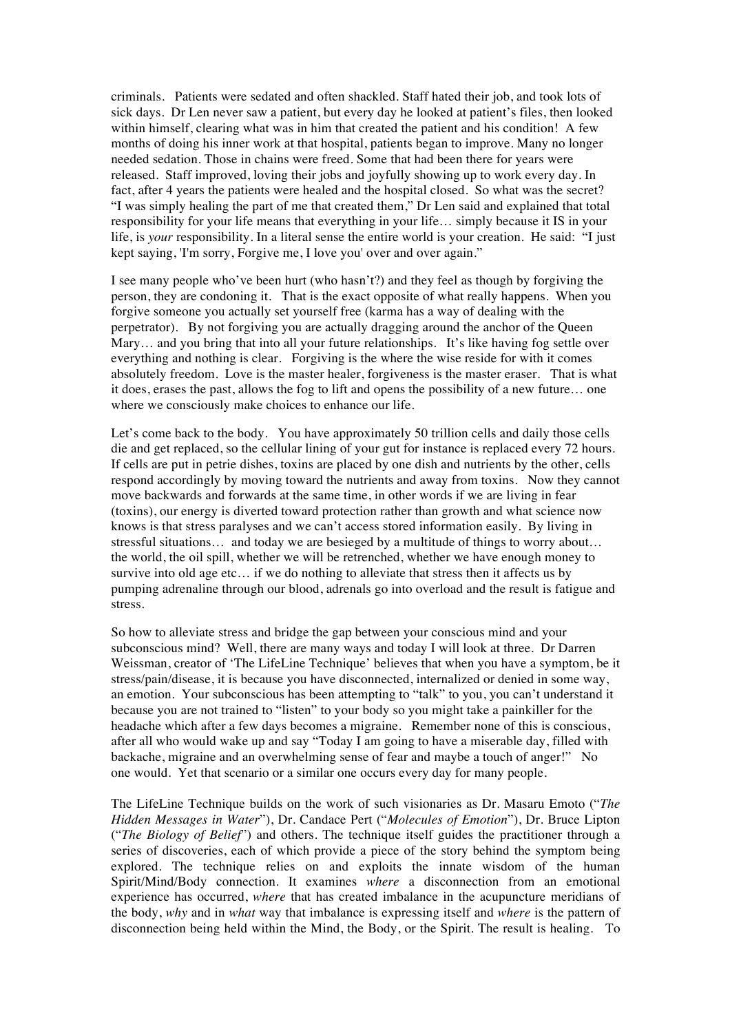criminals. Patients were sedated and often shackled. Staff hated their job, and took lots of sick days. Dr Len never saw a patient, but every day he looked at patient's files, then looked within himself, clearing what was in him that created the patient and his condition! A few months of doing his inner work at that hospital, patients began to improve. Many no longer needed sedation. Those in chains were freed. Some that had been there for years were released. Staff improved, loving their jobs and joyfully showing up to work every day. In fact, after 4 years the patients were healed and the hospital closed. So what was the secret? "I was simply healing the part of me that created them," Dr Len said and explained that total responsibility for your life means that everything in your life… simply because it IS in your life, is *your* responsibility. In a literal sense the entire world is your creation. He said: "I just kept saying, 'I'm sorry, Forgive me, I love you' over and over again."

I see many people who've been hurt (who hasn't?) and they feel as though by forgiving the person, they are condoning it. That is the exact opposite of what really happens. When you forgive someone you actually set yourself free (karma has a way of dealing with the perpetrator). By not forgiving you are actually dragging around the anchor of the Queen Mary… and you bring that into all your future relationships. It's like having fog settle over everything and nothing is clear. Forgiving is the where the wise reside for with it comes absolutely freedom. Love is the master healer, forgiveness is the master eraser. That is what it does, erases the past, allows the fog to lift and opens the possibility of a new future… one where we consciously make choices to enhance our life.

Let's come back to the body. You have approximately 50 trillion cells and daily those cells die and get replaced, so the cellular lining of your gut for instance is replaced every 72 hours. If cells are put in petrie dishes, toxins are placed by one dish and nutrients by the other, cells respond accordingly by moving toward the nutrients and away from toxins. Now they cannot move backwards and forwards at the same time, in other words if we are living in fear (toxins), our energy is diverted toward protection rather than growth and what science now knows is that stress paralyses and we can't access stored information easily. By living in stressful situations… and today we are besieged by a multitude of things to worry about… the world, the oil spill, whether we will be retrenched, whether we have enough money to survive into old age etc… if we do nothing to alleviate that stress then it affects us by pumping adrenaline through our blood, adrenals go into overload and the result is fatigue and stress.

So how to alleviate stress and bridge the gap between your conscious mind and your subconscious mind? Well, there are many ways and today I will look at three. Dr Darren Weissman, creator of 'The LifeLine Technique' believes that when you have a symptom, be it stress/pain/disease, it is because you have disconnected, internalized or denied in some way, an emotion. Your subconscious has been attempting to "talk" to you, you can't understand it because you are not trained to "listen" to your body so you might take a painkiller for the headache which after a few days becomes a migraine. Remember none of this is conscious, after all who would wake up and say "Today I am going to have a miserable day, filled with backache, migraine and an overwhelming sense of fear and maybe a touch of anger!" No one would. Yet that scenario or a similar one occurs every day for many people.

The LifeLine Technique builds on the work of such visionaries as Dr. Masaru Emoto ("*The Hidden Messages in Water*"), Dr. Candace Pert ("*Molecules of Emotion*"), Dr. Bruce Lipton ("*The Biology of Belief*") and others. The technique itself guides the practitioner through a series of discoveries, each of which provide a piece of the story behind the symptom being explored. The technique relies on and exploits the innate wisdom of the human Spirit/Mind/Body connection. It examines *where* a disconnection from an emotional experience has occurred, *where* that has created imbalance in the acupuncture meridians of the body, *why* and in *what* way that imbalance is expressing itself and *where* is the pattern of disconnection being held within the Mind, the Body, or the Spirit. The result is healing. To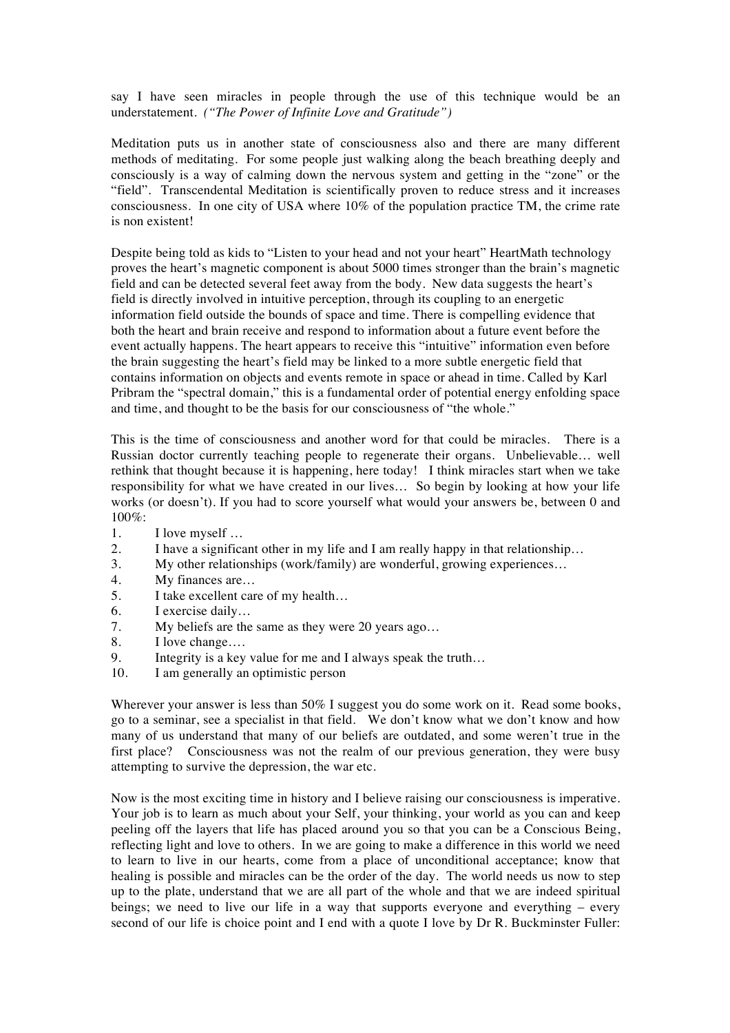say I have seen miracles in people through the use of this technique would be an understatement. *("The Power of Infinite Love and Gratitude")*

Meditation puts us in another state of consciousness also and there are many different methods of meditating. For some people just walking along the beach breathing deeply and consciously is a way of calming down the nervous system and getting in the "zone" or the "field". Transcendental Meditation is scientifically proven to reduce stress and it increases consciousness. In one city of USA where 10% of the population practice TM, the crime rate is non existent!

Despite being told as kids to "Listen to your head and not your heart" HeartMath technology proves the heart's magnetic component is about 5000 times stronger than the brain's magnetic field and can be detected several feet away from the body. New data suggests the heart's field is directly involved in intuitive perception, through its coupling to an energetic information field outside the bounds of space and time. There is compelling evidence that both the heart and brain receive and respond to information about a future event before the event actually happens. The heart appears to receive this "intuitive" information even before the brain suggesting the heart's field may be linked to a more subtle energetic field that contains information on objects and events remote in space or ahead in time. Called by Karl Pribram the "spectral domain," this is a fundamental order of potential energy enfolding space and time, and thought to be the basis for our consciousness of "the whole."

This is the time of consciousness and another word for that could be miracles. There is a Russian doctor currently teaching people to regenerate their organs. Unbelievable… well rethink that thought because it is happening, here today! I think miracles start when we take responsibility for what we have created in our lives… So begin by looking at how your life works (or doesn't). If you had to score yourself what would your answers be, between 0 and 100%:

- 1. I love myself …
- 2. I have a significant other in my life and I am really happy in that relationship…
- 3. My other relationships (work/family) are wonderful, growing experiences…
- 4. My finances are…
- 5. I take excellent care of my health…
- 6. I exercise daily…
- 7. My beliefs are the same as they were 20 years ago…
- 8. I love change….
- 9. Integrity is a key value for me and I always speak the truth…
- 10. I am generally an optimistic person

Wherever your answer is less than 50% I suggest you do some work on it. Read some books, go to a seminar, see a specialist in that field. We don't know what we don't know and how many of us understand that many of our beliefs are outdated, and some weren't true in the first place? Consciousness was not the realm of our previous generation, they were busy attempting to survive the depression, the war etc.

Now is the most exciting time in history and I believe raising our consciousness is imperative. Your job is to learn as much about your Self, your thinking, your world as you can and keep peeling off the layers that life has placed around you so that you can be a Conscious Being, reflecting light and love to others. In we are going to make a difference in this world we need to learn to live in our hearts, come from a place of unconditional acceptance; know that healing is possible and miracles can be the order of the day. The world needs us now to step up to the plate, understand that we are all part of the whole and that we are indeed spiritual beings; we need to live our life in a way that supports everyone and everything – every second of our life is choice point and I end with a quote I love by Dr R. Buckminster Fuller: